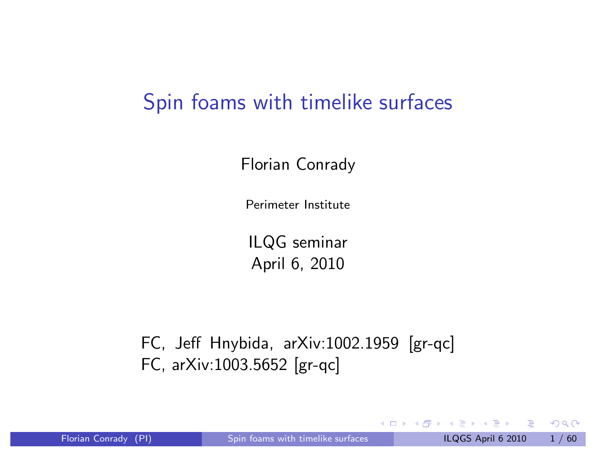#### Spin foams with timelike surfaces

Florian Conrady

Perimeter Institute

ILQG seminar April 6, 2010

FC, Jeff Hnybida, arXiv:1002.1959 [gr-qc] FC, arXiv:1003.5652 [gr-qc]

 $\blacksquare$ 

<span id="page-0-0"></span>◀ @ ▶ ◀ 로 ▶ ◀ 로 ▶ \_ 로 \_ K) Q Q <del>O</del>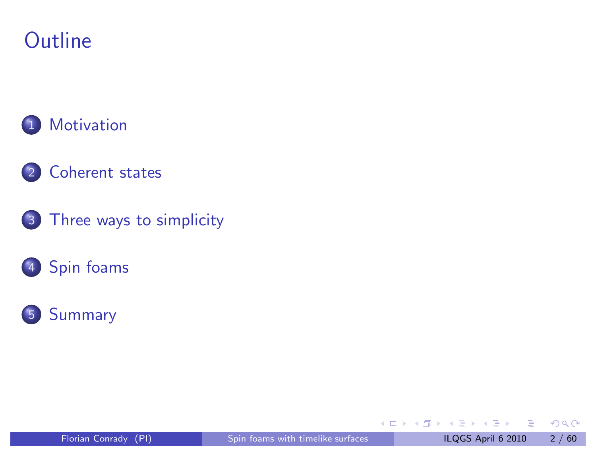#### **Outline**

#### 1 [Motivation](#page-2-0)

#### 2 [Coherent](#page-10-0) states

#### 3 Three ways to [simplicity](#page-31-0)

#### <sup>4</sup> Spin [foams](#page-53-0)



- 1 로

 $OQ$ 

K 듣게 K 듣게

4 冊 ▶

 $\leftarrow$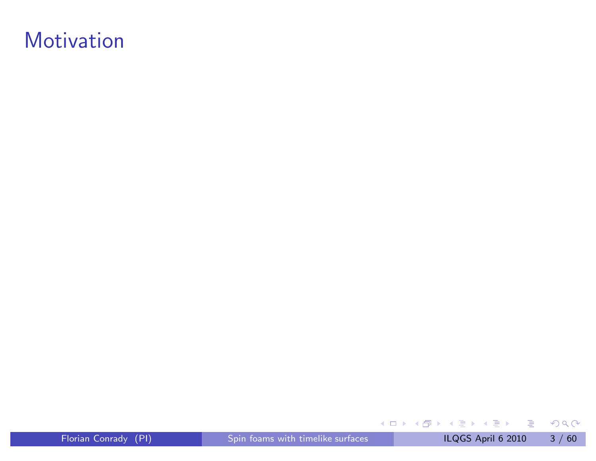#### Motivation

Florian Conrady (PI) Spin foams with timelike [surfaces](#page-0-0) ILQGS April 6 2010 3 / 60

<span id="page-2-0"></span> $\mathcal{P}(\mathcal{A}) \subset \mathcal{P}(\mathcal{A})$ 

K ロ ▶ K @ ▶ K 할 ▶ K 할 ▶ ... 할 ..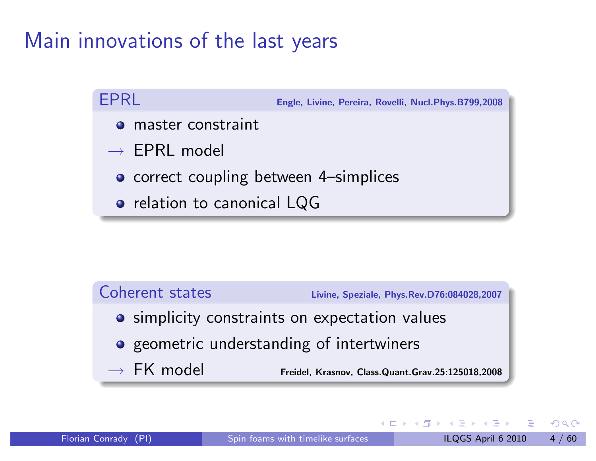#### Main innovations of the last years





 $OQ$ 

**4 □ ▶**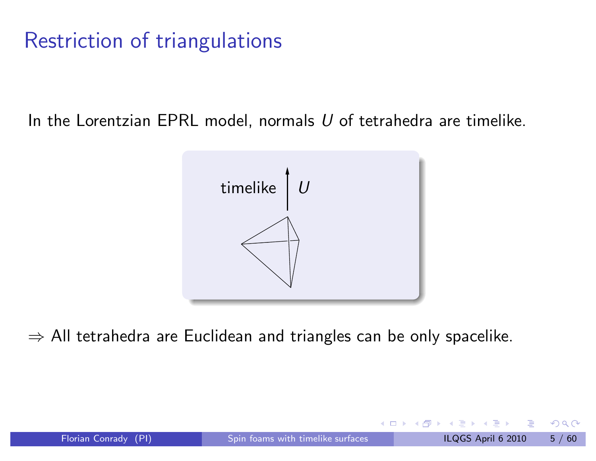Restriction of triangulations

In the Lorentzian EPRL model, normals  $\it U$  of tetrahedra are timelike.



 $\Rightarrow$  All tetrahedra are Euclidean and triangles can be only spacelike.

- 그런

 $0QQ$ 

化重复化重复

 $\blacksquare$ 

◀同▶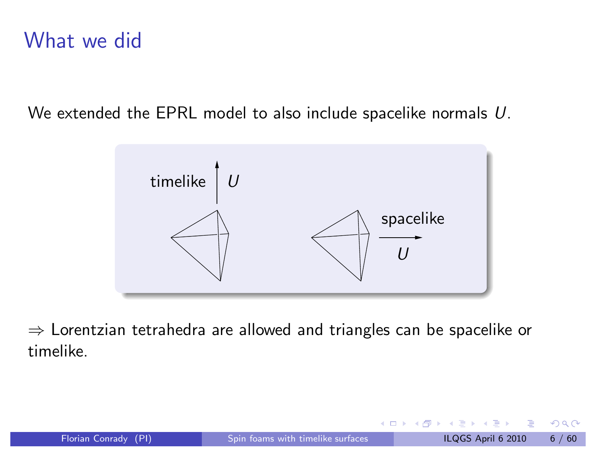#### What we did

We extended the EPRL model to also include spacelike normals  $U$ .



 $\Rightarrow$  Lorentzian tetrahedra are allowed and triangles can be spacelike or timelike.

- 11 로

 $0QQ$ 

 $\blacktriangleleft$   $\oplus$   $\blacktriangleright$   $\dashv$   $\Xi$   $\blacktriangleright$   $\dashv$   $\Xi$   $\blacktriangleright$ 

 $\blacksquare$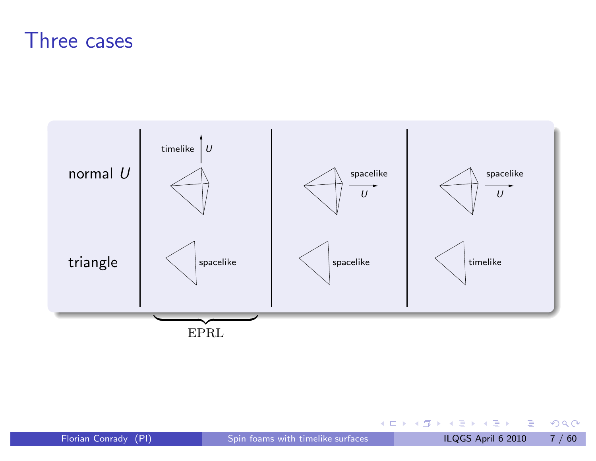#### Three cases



 $\mathcal{P}(\mathcal{A}) \subset \mathcal{P}(\mathcal{A})$ 

K ロ ▶ K @ ▶ K 할 ▶ K 할 ▶ .. 할 ..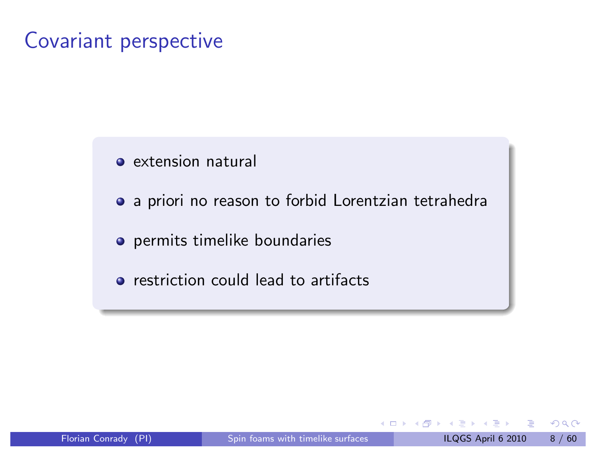#### Covariant perspective

- **extension natural**
- o a priori no reason to forbid Lorentzian tetrahedra
- o permits timelike boundaries
- **•** restriction could lead to artifacts

 $\equiv$   $\circ$   $\circ$ 

 $\Xi$  >  $\rightarrow$   $\Xi$  >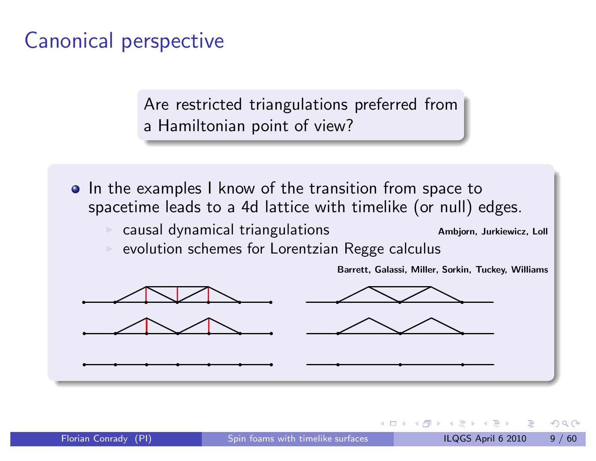Canonical perspective

Are restricted triangulations preferred from <sup>a</sup> Hamiltonian point of view?

- In the examples I know of the transition from space to spacetime leads to <sup>a</sup> 4d lattice with timelike (or null) edges.
	- $\blacktriangleright$  causal dynamical triangulations  $\blacktriangleright$  Ambjorn, Jurkiewicz, Loll

 $\triangleright$  evolution schemes for Lorentzian Regge calculus

Barrett, Galassi, Miller, Sorkin, Tuckey, Williams

 $\blacktriangleleft$   $\oplus$   $\blacktriangleright$   $\dashv$   $\exists$   $\blacktriangleright$   $\dashv$   $\exists$   $\dashv$ 

**↓□▶** 



- 3

 $\Omega$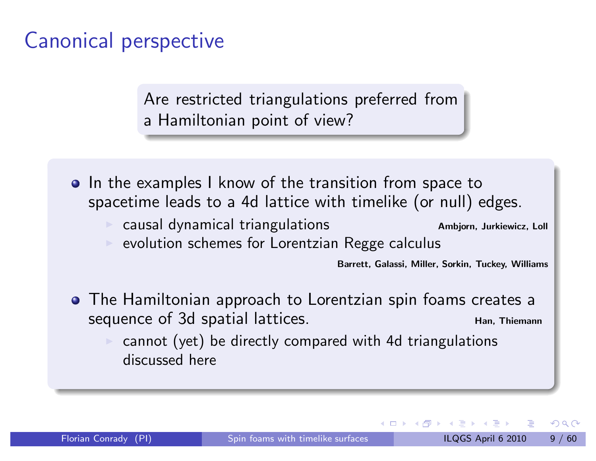#### Canonical perspective

Are restricted triangulations preferred from <sup>a</sup> Hamiltonian point of view?

- In the examples I know of the transition from space to spacetime leads to <sup>a</sup> 4d lattice with timelike (or null) edges.
	- $\triangleright$  causal dynamical triangulations  $\triangleright$  Ambjorn, Jurkiewicz, Loll

 $\triangleright$  evolution schemes for Lorentzian Regge calculus

Barrett, Galassi, Miller, Sorkin, Tuckey, Williams

- The Hamiltonian approach to Lorentzian spin foams creates <sup>a</sup> sequence of 3d spatial lattices. The sequence of 3d spatial lattices.
	- ◮ cannot (yet) be directly compared with 4d triangulations discussed here

 $\Omega$ 

- 4冊 ▶ 4目 ▶ 4目 ▶ │ 目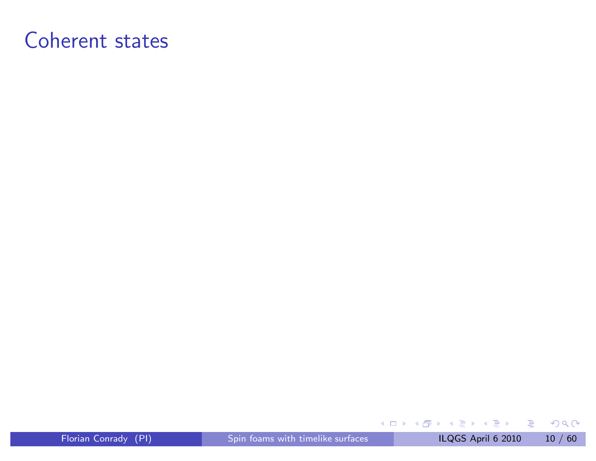#### Coherent states

Florian Conrady (PI) Spin foams with timelike [surfaces](#page-0-0) ILQGS April 6 2010 10 / 60

<span id="page-10-0"></span>(ロ) (個) (目) (目) (目) 目 のQQ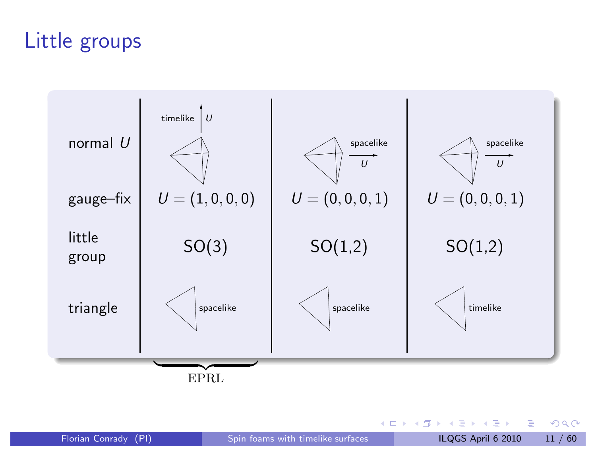## Little groups



K ロ ▶ K 御 ▶ K 重 ▶ K 重 ▶ │ 重 │ ◆ 9 Q ⊙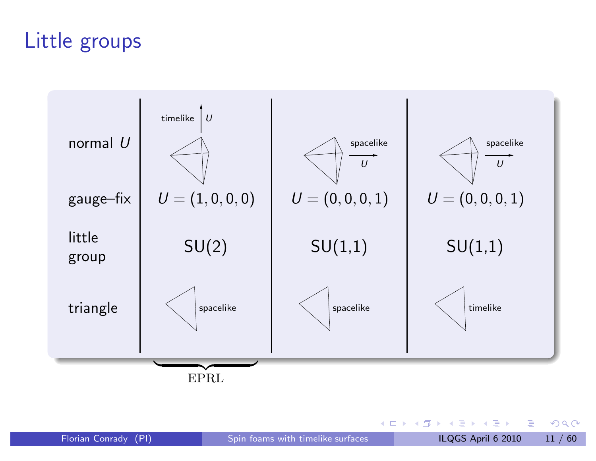## Little groups



K ロ ▶ K 御 ▶ K 重 ▶ K 重 ▶ │ 重 │ ◆ 9 Q ⊙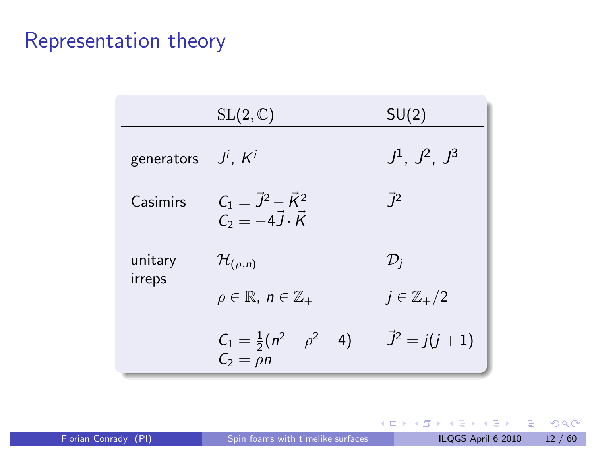#### Representation theory

|                   | $SL(2,\mathbb{C})$                                                    | SU(2)                                   |
|-------------------|-----------------------------------------------------------------------|-----------------------------------------|
| generators        | $J^i$ , $K^i$                                                         | $J^1$ , $J^2$ , $J^3$                   |
| Casimirs          | $C_1 = \vec{J}^2 - \vec{K}^2$<br>$C_2 = -4\vec{J}\cdot\vec{K}$        | $\vec{J}^2$                             |
| unitary<br>irreps | $\mathcal{H}_{(\rho,n)}$<br>$\rho \in \mathbb{R}, n \in \mathbb{Z}_+$ | $\mathcal{D}_i$<br>$j\in\mathbb{Z}_+/2$ |
|                   | $C_1 = \frac{1}{2}(n^2 - \rho^2 - 4)$<br>$\mathcal{C}_2 = \rho n$     | $\vec{J}^2 = j(j+1)$                    |

 $\leftarrow$   $\Box$ 

( 伊 ) ( ミ ) ( ミ ) - ミ - の Q ( 〉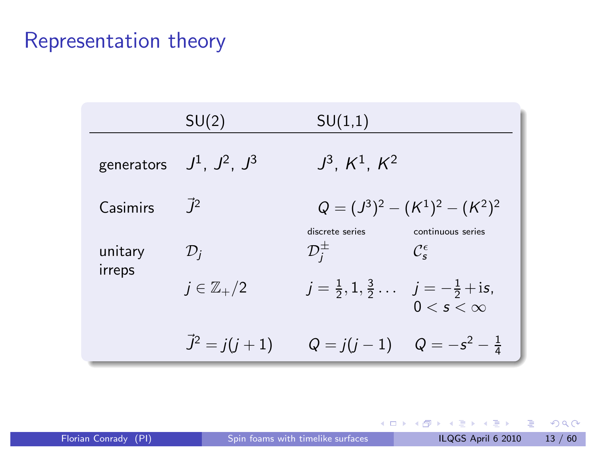#### Representation theory

|                   | SU(2)                 | SU(1,1)                                                       |                                                          |
|-------------------|-----------------------|---------------------------------------------------------------|----------------------------------------------------------|
| generators        | $J^1$ , $J^2$ , $J^3$ | $J^3$ , $K^1$ , $K^2$                                         |                                                          |
| Casimirs          | $\bar{1}^2$           | $Q=(J^3)^2-(K^1)^2-(K^2)^2$                                   |                                                          |
| unitary<br>irreps | $\mathcal{D}_i$       | discrete series<br>$\mathcal{D}_i^{\pm}$                      | continuous series<br>$\mathcal{C}_{\epsilon}^{\epsilon}$ |
|                   | $j\in\mathbb{Z}_+/2$  | $j=\frac{1}{2}, 1, \frac{3}{2} \ldots$ $j=-\frac{1}{2}+i s$ , | $0 < s < \infty$                                         |
|                   | $\vec{J}^2 = i(i+1)$  |                                                               | $Q = j(j-1)$ $Q = -s^2 - \frac{1}{4}$                    |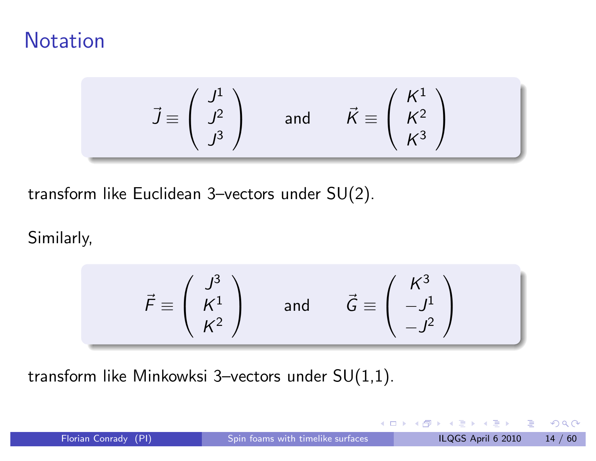#### Notation

$$
\vec{J} \equiv \begin{pmatrix} J^1 \\ J^2 \\ J^3 \end{pmatrix} \quad \text{and} \quad \vec{K} \equiv \begin{pmatrix} K^1 \\ K^2 \\ K^3 \end{pmatrix}
$$

transform like Euclidean 3–vectors under SU(2).

Similarly,

$$
\vec{F} \equiv \begin{pmatrix} J^3 \\ K^1 \\ K^2 \end{pmatrix} \quad \text{and} \quad \vec{G} \equiv \begin{pmatrix} K^3 \\ -J^1 \\ -J^2 \end{pmatrix}
$$

transform like Minkowksi 3–vectors under SU(1,1).

K □ ▶ K @ ▶ K 重 ▶ K 重 ▶ │ 重 │ ◆ 9 Q ⊙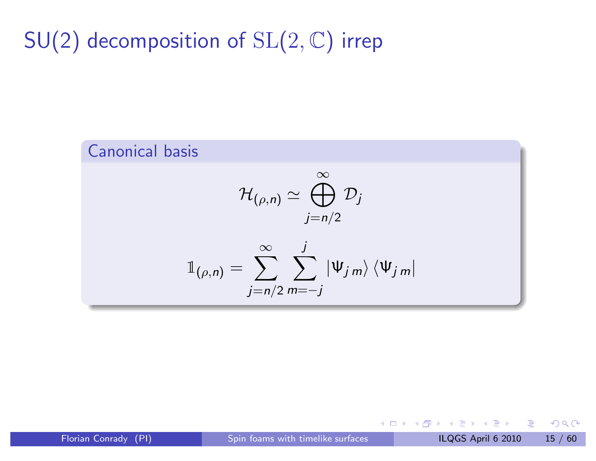## $\mathsf{SU}(2)$  decomposition of  $\mathrm{SL}(2,\mathbb{C})$  irrep

Canonical basis  $\mathcal{H}_{(\rho,n)}$  $\simeq$  $\bigoplus^\infty$  $j=n/2$  $\mathcal{D}_j$  $\mathbb{1}_{(\rho,n)}$ =  $\sum^{\infty}_{m}\;\sum^{\;\;j}\;|\Psi_{j\,m}\rangle\,\langle\Psi_{j\,m}|$  $j=n/2$  m= $-j$ 

Florian Conrady (PI) Spin foams with timelike [surfaces](#page-0-0) ILQGS April 6 2010 15 / 60

**4 □ ▶**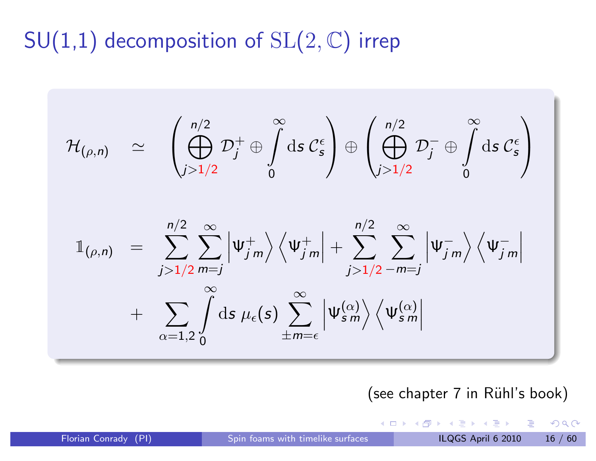## $\mathsf{SU}(1,1)$  decomposition of  $\mathrm{SL}(2,\mathbb{C})$  irrep

$$
\mathcal{H}_{(\rho,\eta)} \quad \simeq \quad \left(\bigoplus_{j>1/2}^{n/2} \mathcal{D}_j^+ \oplus \int_0^\infty ds \, \mathcal{C}_s^{\epsilon} \right) \oplus \left(\bigoplus_{j>1/2}^{n/2} \mathcal{D}_j^- \oplus \int_0^\infty ds \, \mathcal{C}_s^{\epsilon} \right)
$$
\n
$$
\mathbb{1}_{(\rho,n)} \quad = \quad \sum_{j>1/2}^{n/2} \sum_{m=j}^{\infty} \left| \Psi_{j,m}^+ \right\rangle \left\langle \Psi_{j,m}^+ \right| + \sum_{j>1/2}^{n/2} \sum_{-m=j}^{\infty} \left| \Psi_{j,m}^- \right\rangle \left\langle \Psi_{j,m}^- \right|
$$
\n
$$
+ \quad \sum_{\alpha=1,2} \int_0^\infty ds \, \mu_{\epsilon}(s) \sum_{\pm m=\epsilon}^{\infty} \left| \Psi_{s,m}^{(\alpha)} \right\rangle \left\langle \Psi_{s,m}^{(\alpha)} \right|
$$

(see chapter 7 in Rühl's book)

 $\leftarrow$   $\Box$ 

→ 伊 → → 王 → → 王 → 一王 → つんぺ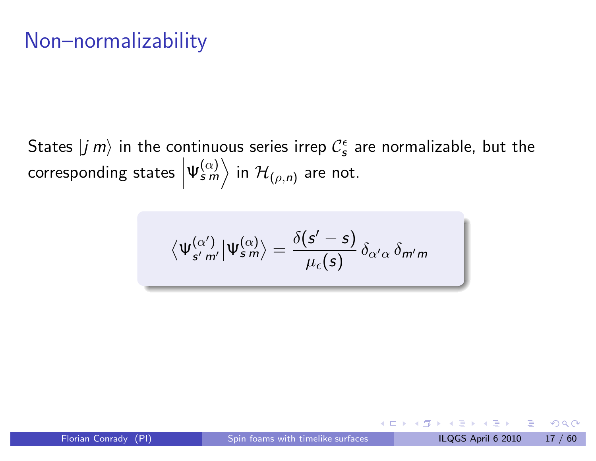#### Non–normalizability

States  $|j m\rangle$  in the continuous series irrep  $C_5^{\epsilon}$  are normalizable, but the corresponding states  $|\Psi_{s\,m}^{(\alpha)}\rangle$  in  $\mathcal{H}_{(\rho,n)}$  are not.

$$
\big\langle \Psi_{s'm'}^{(\alpha')}\big|\Psi_{s\,m}^{(\alpha)}\big\rangle=\frac{\delta(s'-s)}{\mu_\epsilon(s)}\,\delta_{\alpha'\alpha}\,\delta_{m'm}
$$

◀ @ ▶ ◀ 로 ▶ ◀ 로 ▶ │ 로

 $\blacksquare$ 

 $OQ$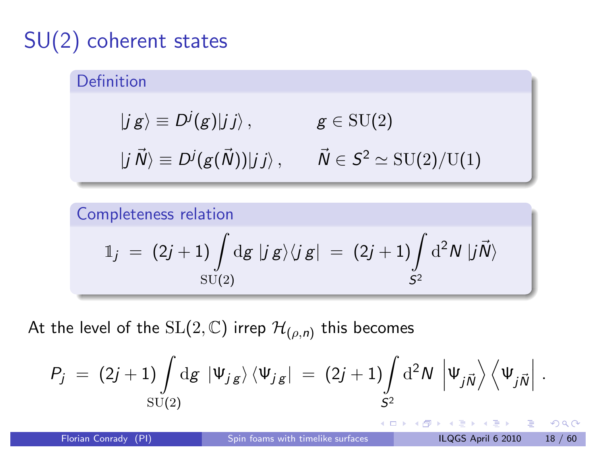## SU(2) coherent states

#### Definition

$$
\begin{array}{ll}\n\ket{j\,g} \equiv D^j(g)\ket{j\,j}, & \quad g \in \mathrm{SU}(2) \\
\ket{j\,\vec{N}} \equiv D^j(g(\vec{N}))\ket{j\,j}, & \vec{N} \in S^2 \simeq \mathrm{SU}(2)/\mathrm{U}(1)\n\end{array}
$$

Completeness relation  
\n
$$
\mathbb{1}_{j} = (2j+1) \int \mathrm{d}g \, |j g\rangle \langle j g| = (2j+1) \int \mathrm{d}^{2} N |j \vec{N}\rangle
$$
\n
$$
\mathbb{S} \mathbb{U}(2) \qquad S^{2}
$$

At the level of the  $SL(2, \mathbb{C})$  irrep  $\mathcal{H}_{(\rho,n)}$  this becomes

$$
P_j = (2j+1) \int \limits_{SU(2)} \mathrm{d}g \, |\Psi_{j\,g} \rangle \, \langle \Psi_{j\,g} | = (2j+1) \int \limits_{S^2} \mathrm{d}^2N \, |\Psi_{j\vec{N}} \rangle \, \langle \Psi_{j\vec{N}} |.
$$

◀ ㅁ ▶ ◀ @ ▶ ◀ 至 ▶ ◀ 돋 ▶ │ 돋 │ ◆ 9 Q ⊙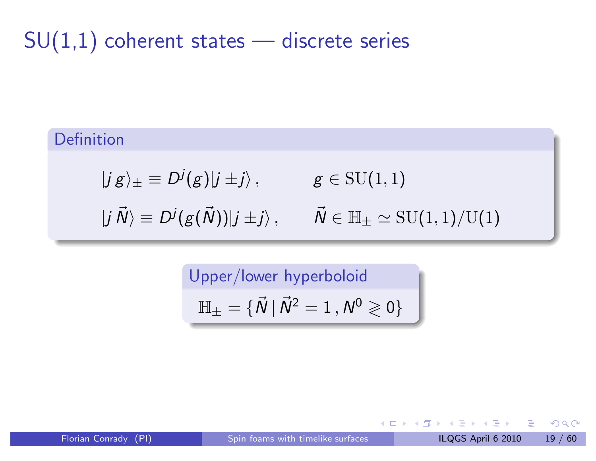### $SU(1,1)$  coherent states — discrete series

#### Definition

 $|j\,g\rangle_\pm\equiv D^j(g)|j\,\pm j\rangle\,, \hspace{1cm} g\in \mathrm{SU}(1,1)$  $|j \: \vec N \rangle \equiv D^j (g(\vec N)) |j \pm j \rangle \, , \qquad \vec N \in {\mathbb H}_\pm \simeq {\rm SU(1,1)/U(1)}$ 

> Upper/lower hyperboloid  $\mathbb{H}_{\pm}=\{\vec{N}\,|\,\vec{N}^2=1\,,\mathsf{N}^0\gtrless 0\}$

 $\blacksquare$ 

- ◆ 伊 ▶ → 王 ▶ → 王 ▶ │ 王 │ ◆ 9.9.0 º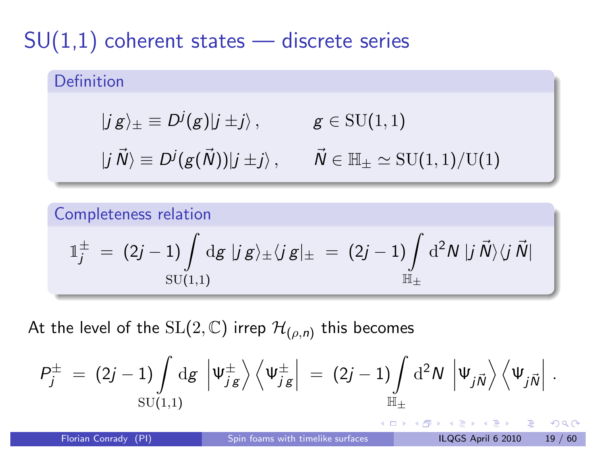## SU(1,1) coherent states — discrete series

# Definition  $|j\,g\rangle_\pm\equiv D^j(g)|j\,\pm j\rangle\,, \hspace{1cm} g\in \mathrm{SU}(1,1)$  $|j \: \vec N \rangle \equiv D^j (g(\vec N)) |j \pm j \rangle \, , \qquad \vec N \in {\mathbb H}_\pm \simeq {\rm SU(1,1)/U(1)}$

#### Completeness relation  $\mathbb{1}$  $\stackrel{\pm}{j}$  =  $(2j-1)$  $\int$  $\mathrm{SU}(1,1)$  $\mathrm{d} g \ |j \, g \rangle_{\pm} \langle j \, g \vert_{\pm} \ = \ (2j-1)$  $\int$  $\mathbb{H}_\pm$  $\mathrm{d}^2N\mid$ j  $\vec{N}\rangle\langle$ j  $\vec{N}\mid$

At the level of the  $\mathrm{SL}(2,\mathbb{C})$  irrep  $\mathcal{H}_{(\rho,n)}$  this becomes

$$
P_j^{\pm} \; = \; (2j-1) \int \limits_{\mathrm{SU}(1,1)} \mathrm{d} g \; \left| \Psi_{j\,g}^{\pm} \right\rangle \left\langle \Psi_{j\,g}^{\pm} \right| \; = \; (2j-1) \int \limits_{\mathbb{H}_{\pm}} \mathrm{d}^2 N \; \left| \Psi_{j\vec{N}} \right\rangle \left\langle \Psi_{j\vec{N}} \right| \, .
$$

**4 □ ▶** 

- ◀ @ ▶ ◀ 로 ▶ ◀ 로 ▶ \_ 로 \_ < ⊙ Q ⊙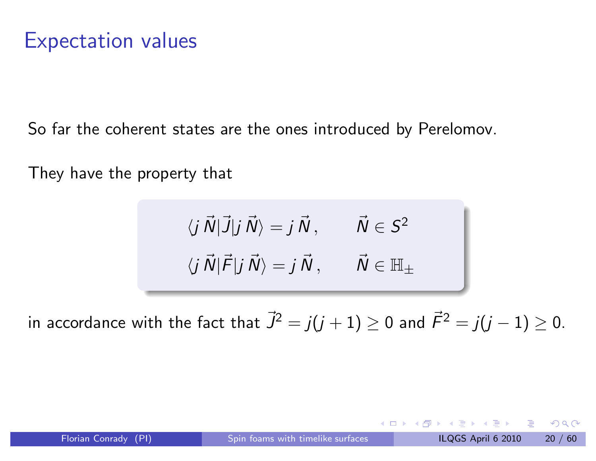So far the coherent states are the ones introduced by Perelomov.

They have the property that

$$
\langle j \vec{N} | \vec{J} | j \vec{N} \rangle = j \vec{N}, \qquad \vec{N} \in S^2
$$
  

$$
\langle j \vec{N} | \vec{F} | j \vec{N} \rangle = j \vec{N}, \qquad \vec{N} \in \mathbb{H}_{\pm}
$$

in accordance with the fact that  $\vec{J}^2 = j(j+1) \geq 0$  and  $\vec{\digamma}^2 = j(j-1) \geq 0.$ 

 $\Omega$ 

◀ @ ▶ ◀ 로 ▶ ◀ 로 ▶ │ 로

 $\blacksquare$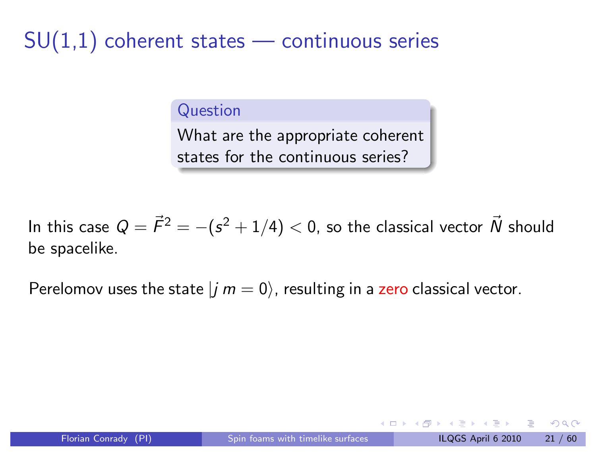Question

What are the appropriate coherent states for the continuous series?

In this case  $Q = \vec{F}^2 = -(s^2 + 1/4) < 0$ , so the classical vector  $\vec{N}$  should be spacelike.

Perelomov uses the state  $|j \ m=0\rangle$ , resulting in a zero classical vector.

◀ @ ▶ ◀ 로 ▶ ◀ 로 ▶ │ 로 │ ◆) ٩, 0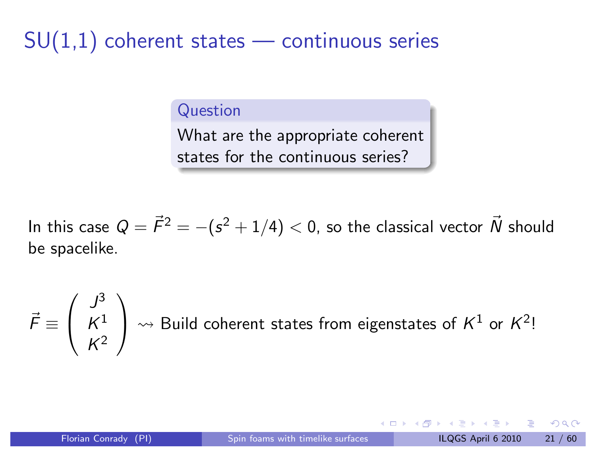Question

What are the appropriate coherent states for the continuous series?

In this case  $Q = \vec{F}^2 = -(s^2 + 1/4) < 0$ , so the classical vector  $\vec{N}$  should be spacelike.

$$
\vec{F} \equiv \begin{pmatrix} J^3 \\ K^1 \\ K^2 \end{pmatrix} \rightsquigarrow \text{Build coherent states from eigenstates of } K^1 \text{ or } K^2!
$$

◀ 로 ▶ ◀ 토 ▶ │ 토│ │ ◆ 9 Q (Ŷ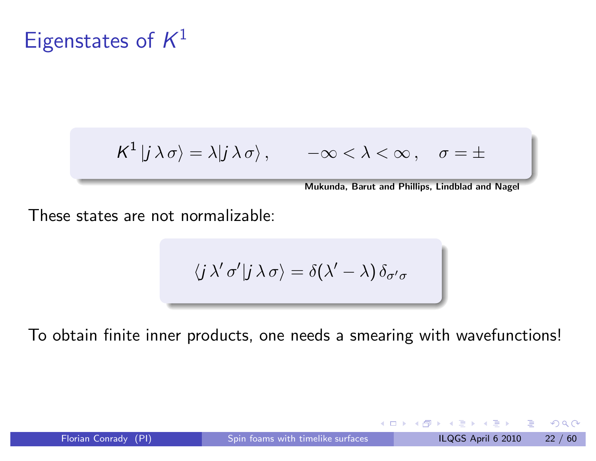## Eigenstates of  $K^1$

$$
\mathcal{K}^1 | j \lambda \sigma \rangle = \lambda | j \lambda \sigma \rangle \, ,
$$

$$
\mathsf{K}^1 \ket{j \lambda \sigma} = \lambda \ket{j \lambda \sigma}, \qquad -\infty < \lambda < \infty \,, \quad \sigma = \pm
$$

 $\blacksquare$ 

Mukunda, Barut and Phillips, Lindblad and Nagel

These states are not normalizable:

$$
\langle j\,\lambda'\,\sigma'|j\,\lambda\,\sigma\rangle=\delta(\lambda'-\lambda)\,\delta_{\sigma'\sigma}
$$

To obtain finite inner products, one needs <sup>a</sup> smearing with wavefunctions!

 $OQ$ 

- ◀ @ ▶ - ◀ 로 ▶ - ◀ 로 ▶ - \_ 로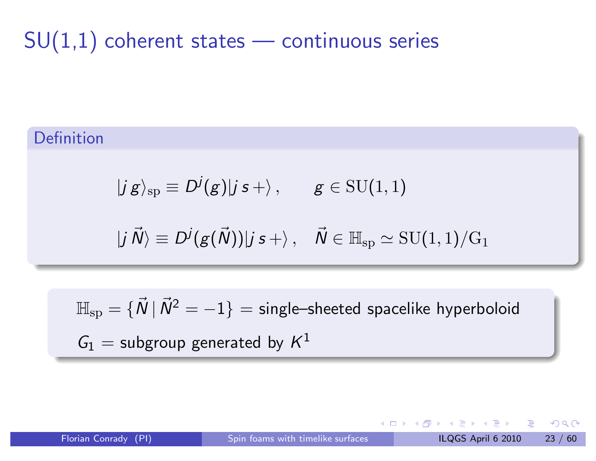#### Definition

$$
|j\,g\rangle_{\mathrm{sp}}\equiv D^j(g)|j\,s+\rangle\,,\qquad g\in \mathrm{SU}(1,1)
$$

$$
|j\,\vec{\mathsf{N}}\rangle\equiv D^j(g(\vec{\mathsf{N}}))|j\,\mathsf{s}+\rangle\,,\quad \vec{\mathsf{N}}\in\mathbb{H}_\mathrm{sp}\simeq \mathrm{SU}(1,1)/\mathrm{G}_1
$$

 $\mathbb{H}_{\text{sp}}=\{\vec{N}\,|\,\vec{N}^2=-1\}=\text{single–sheeted spacelike hyperboloid}$ 

 $G_1 =$  subgroup generated by  $K^1$ 

K □ ▶ K @ ▶ K 重 ▶ K 重 ▶ │ 重 │ ◆ 9 Q ⊙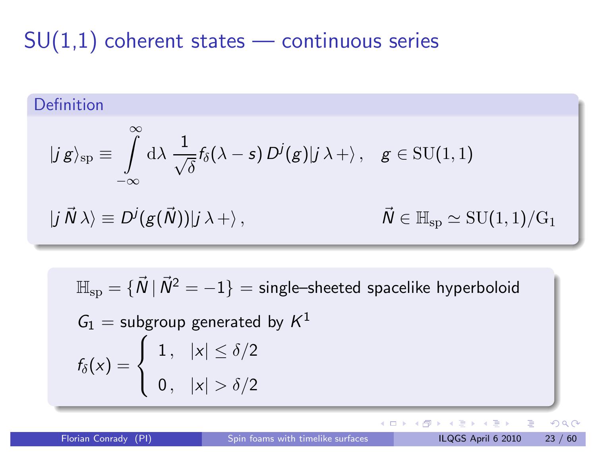Definition  
\n
$$
|j g\rangle_{\rm sp} \equiv \int_{-\infty}^{\infty} d\lambda \frac{1}{\sqrt{\delta}} f_{\delta}(\lambda - s) D^{j}(g) |j \lambda + \rangle, \quad g \in SU(1, 1)
$$
\n
$$
|j \vec{N} \lambda \rangle \equiv D^{j}(g(\vec{N})) |j \lambda + \rangle, \qquad \qquad \vec{N} \in \mathbb{H}_{\rm sp} \simeq SU(1, 1)/G_1
$$

$$
\mathbb{H}_{sp} = \{ \vec{N} \mid \vec{N}^2 = -1 \} = \text{single-sheeted spacelike hyperboloid}
$$
\n
$$
G_1 = \text{subgroup generated by } K^1
$$
\n
$$
f_{\delta}(x) = \begin{cases} 1, & |x| \le \delta/2 \\ 0, & |x| > \delta/2 \end{cases}
$$

 $\mathcal{P}(\mathcal{A}) \subset \mathcal{P}(\mathcal{A})$ 

K ロ ▶ K @ ▶ K 홍 ▶ K 홍 ▶ │ 홍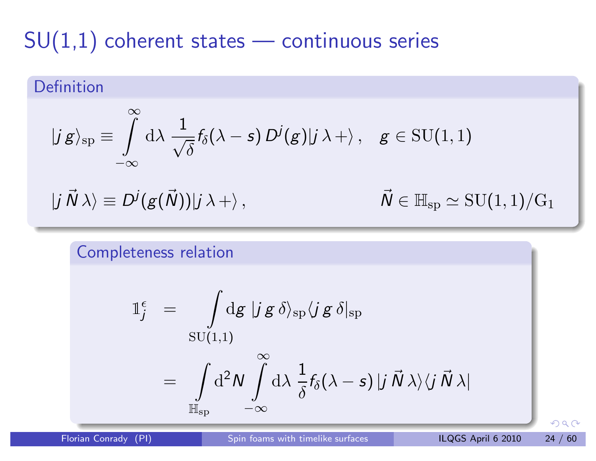

 $\mathbb{H}_{\text{sp}}$ 

 $-\infty$ 

 $\Omega$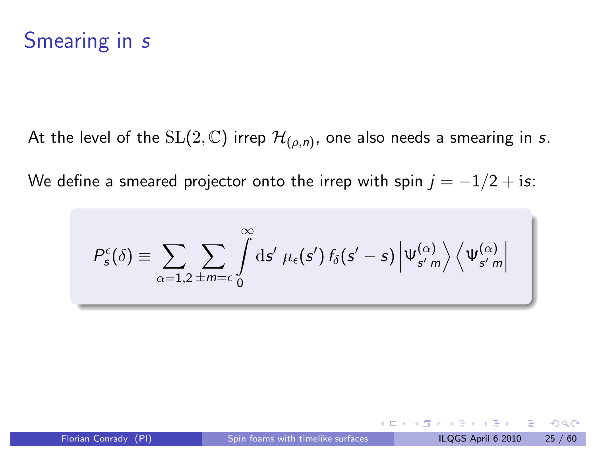#### Smearing in <sup>s</sup>

At the level of the  $\mathrm{SL}(2,\mathbb{C})$  irrep  $\mathcal{H}_{(\rho,n)}$ , one also needs a smearing in s.

We define a smeared projector onto the irrep with spin  $j = -1/2 + i s$ :

$$
P_{s}^{\epsilon}(\delta) \equiv \sum_{\alpha=1,2}\sum_{\pm m=\epsilon}\int\limits_{0}^{\infty}\mathrm{d}s'\ \mu_{\epsilon}(s')\ f_{\delta}(s'-s)\left|\Psi_{s'm}^{(\alpha)}\right\rangle\left\langle \Psi_{s'm}^{(\alpha)}\right|
$$

 $\blacksquare$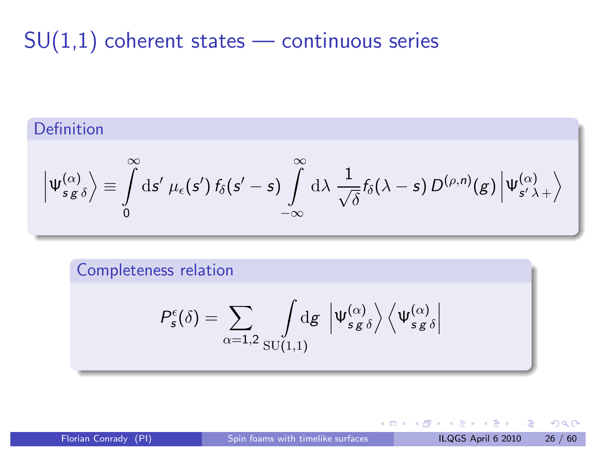#### Definition

$$
\left|\Psi_{s\,g\,\delta}^{(\alpha)}\right\rangle \equiv \int\limits_{0}^{\infty}\mathrm{d}s'\,\mu_{\epsilon}(s')\,f_{\delta}(s'-s)\int\limits_{-\infty}^{\infty}\mathrm{d}\lambda\,\frac{1}{\sqrt{\delta}}f_{\delta}(\lambda-s)\,D^{(\rho,n)}(g)\left|\Psi_{s'\,\lambda+\right\rangle
$$

Completeness relation

$$
P_{\boldsymbol{s}}^{\epsilon}(\delta) = \sum_{\alpha=1,2}\int\limits_{\mathrm{SU}(1,1)}\!\mathrm{d} g\,\,\left|\Psi_{\boldsymbol{s}\,\boldsymbol{g}\,\delta}^{(\alpha)}\right\rangle \left\langle \Psi_{\boldsymbol{s}\,\boldsymbol{g}\,\delta}^{(\alpha)}\right|
$$

Florian Conrady (PI) Spin foams with timelike [surfaces](#page-0-0) ILQGS April 6 2010 26 / 60

◀ㅁ▶ ◀ @ ▶ ◀ 혼▶ ◀ 혼▶ │ 돈│ ⊙ ٩.⊙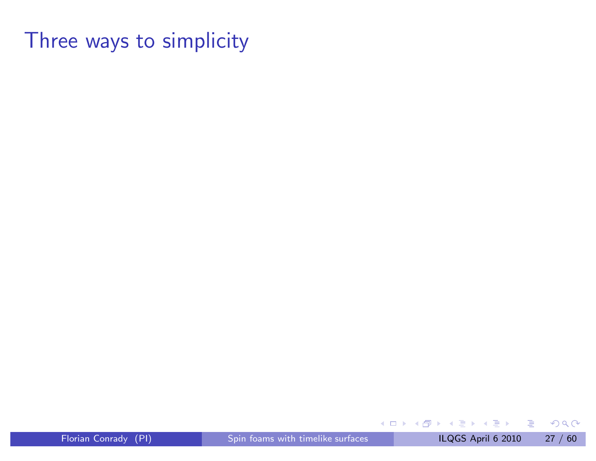Three ways to simplicity

Florian Conrady (PI) Spin foams with timelike [surfaces](#page-0-0) ILQGS April 6 2010 27 / 60

<span id="page-31-0"></span>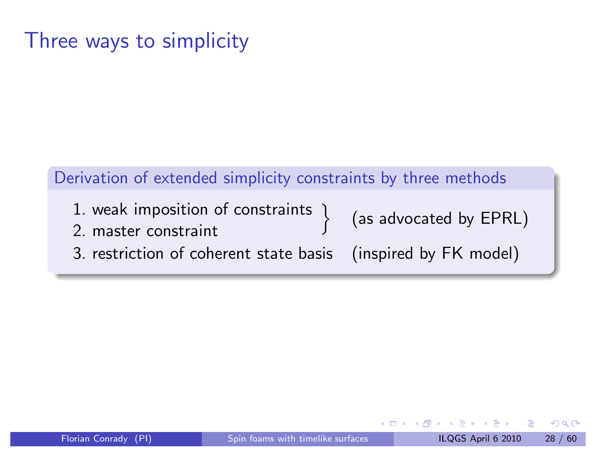#### Three ways to simplicity

Derivation of extended simplicity constraints by three methods

- 1. weak imposition of constraints
- 2. master constraint
- 3. restriction of coherent state basis
- (as advocated by EPRL)
- (inspired by FK model)

- 로

 $\Omega$ 

医下环医下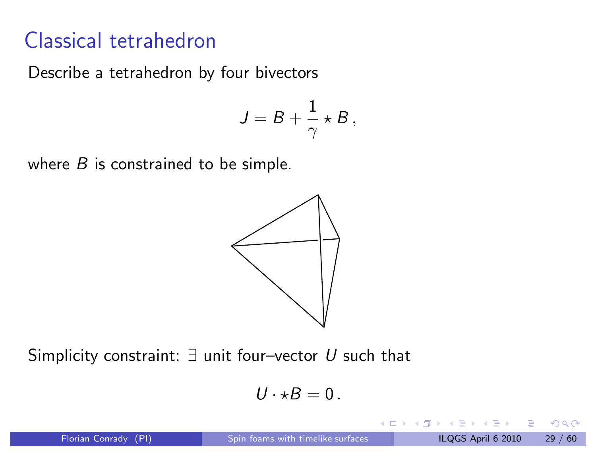#### Classical tetrahedron

Describe <sup>a</sup> tetrahedron by four bivectors

$$
J=B+\frac{1}{\gamma}\star B\,,
$$

where  $B$  is constrained to be simple.



Simplicity constraint:  $\exists$  unit four–vector U such that

$$
U\cdot\star B=0\,.
$$

- 로

 $\Omega$ 

 $\blacksquare$ 

◀ 冊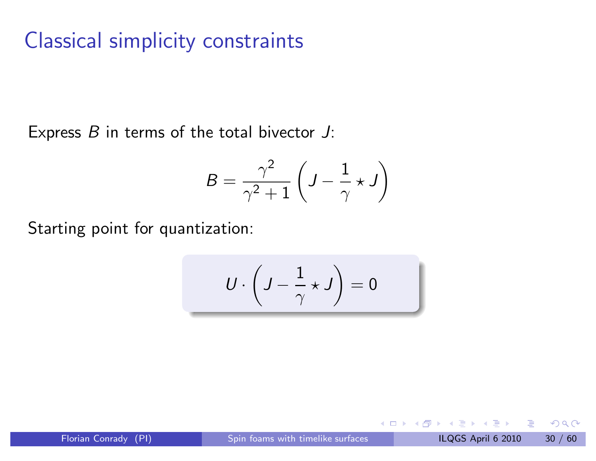#### Classical simplicity constraints

Express  $B$  in terms of the total bivector  $J\mathrm{:}$ 

$$
B = \frac{\gamma^2}{\gamma^2 + 1} \left( J - \frac{1}{\gamma} \star J \right)
$$

Starting point for quantization:

$$
U\cdot \left( J-\frac{1}{\gamma }\star J\right) =0
$$

- 그런

 $\Omega$ 

 $\blacksquare$ 

◀ 冊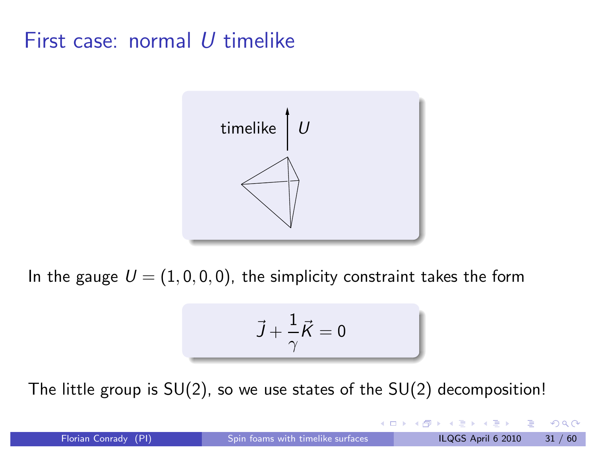#### First case: normal U timelike



In the gauge  $U = (1, 0, 0, 0)$ , the simplicity constraint takes the form

$$
\vec{J} + \frac{1}{\gamma}\vec{K} = 0
$$

The little group is  $SU(2)$ , so we use states of the  $SU(2)$  decomposition!

◀ @ ▶ ◀ 로 ▶ ◀ 로 ▶ \_ 로 \_ K) Q Q <del>O</del>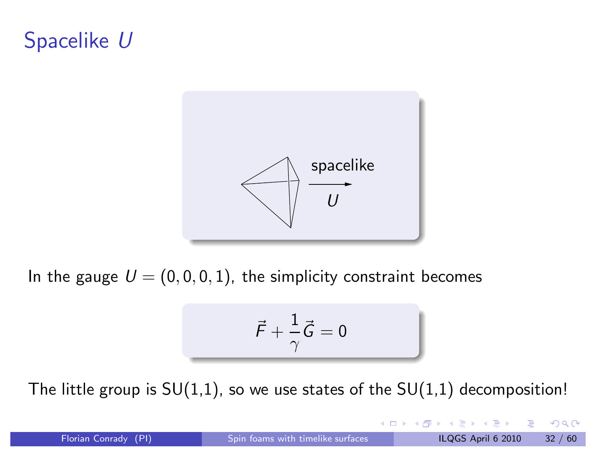## Spacelike U



In the gauge  $U = (0, 0, 0, 1)$ , the simplicity constraint becomes

$$
\vec{F} + \frac{1}{\gamma}\vec{G} = 0
$$

The little group is  $SU(1,1)$ , so we use states of the  $SU(1,1)$  decomposition!

◀ @ ▶ ◀ 로 ▶ ◀ 로 ▶ │ 로

 $\blacksquare$ 

 $OQ$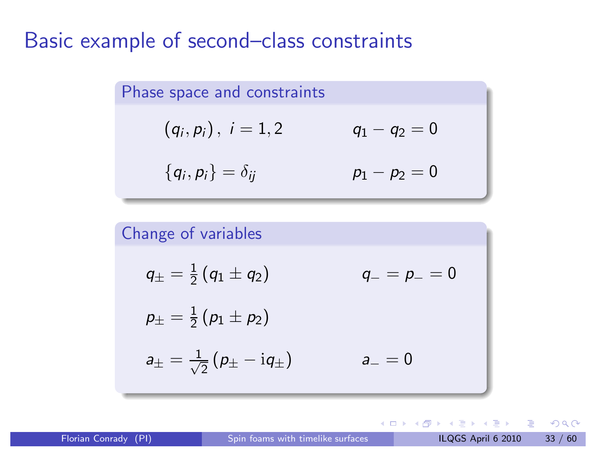#### Basic example of second–class constraints



Change of variables  $q_\pm=\frac{1}{2}$  $\frac{1}{2}\left( \mathbb{q}_{1}\pm\mathbb{q}_{2}\right)$  $q_{-}=p_{-}=0$  $\rho_\pm=\frac{1}{2}$  $\frac{1}{2}\left(p_{1} \pm p_{2}\right)$  $a_\pm = \frac{1}{\sqrt{2}}\left(\rho_\pm - \mathrm{i} q_\pm\right)$  $a_-=0$ 

K □ ▶ K @ ▶ K 重 ▶ K 重 ▶ │ 重 │ ◆ 9 Q ⊙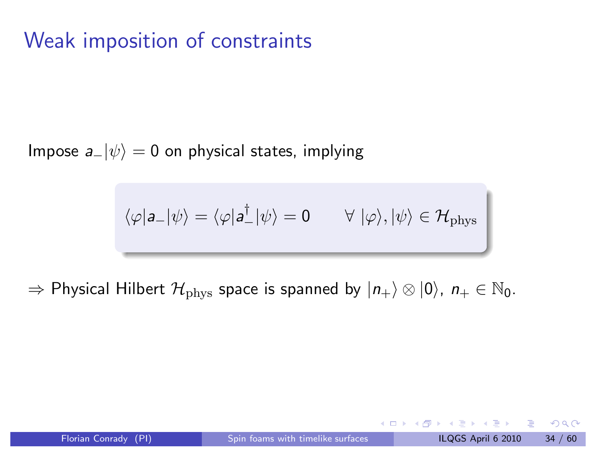#### Weak imposition of constraints

 $\mathsf{Impose}\,\, a_-\vert \psi\rangle =0$  on physical states, implying

$$
\langle \varphi | a_- | \psi \rangle = \langle \varphi | a_-^{\dagger} | \psi \rangle = 0 \qquad \forall \ |\varphi \rangle, | \psi \rangle \in \mathcal{H}_{\text{phys}}
$$

 $\Rightarrow$  Physical Hilbert  $\mathcal{H}_{\text{phys}}$  space is spanned by  $|n_+\rangle \otimes |0\rangle$ ,  $n_+ \in \mathbb{N}_0.$ 

 $\blacksquare$ 

◀ 冊

◀ 듣 ▶ ◀ 듣 ▶ │ 듣 │ ◆ 9 Q ⊙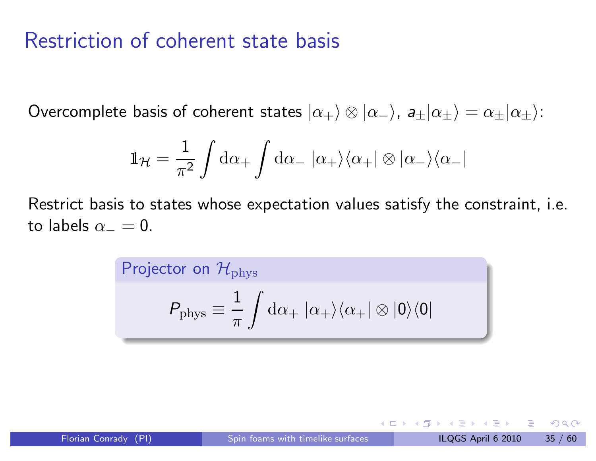Overcomplete basis of coherent states  $|\alpha_+\rangle\otimes|\alpha_-\rangle$ ,  $a_{\pm}|\alpha_{\pm}\rangle=\alpha_{\pm}|\alpha_{\pm}\rangle$ :

$$
\mathbb{1}_{\mathcal{H}} = \frac{1}{\pi^2} \int d\alpha_+ \int d\alpha_- \, |\alpha_+\rangle \langle \alpha_+| \otimes |\alpha_-\rangle \langle \alpha_-|
$$

Restrict basis to states whose expectation values satisfy the constraint, i.e. to labels  $\alpha_-=0.$ 

Projector on 
$$
\mathcal{H}_{\text{phys}}
$$
  
\n
$$
P_{\text{phys}} \equiv \frac{1}{\pi} \int d\alpha_+ \, |\alpha_+\rangle \langle \alpha_+| \otimes |0\rangle \langle 0|
$$

 $\Omega$ 

◀ @ ▶ ◀ 로 ▶ ◀ 로 ▶ │ 로

 $\blacksquare$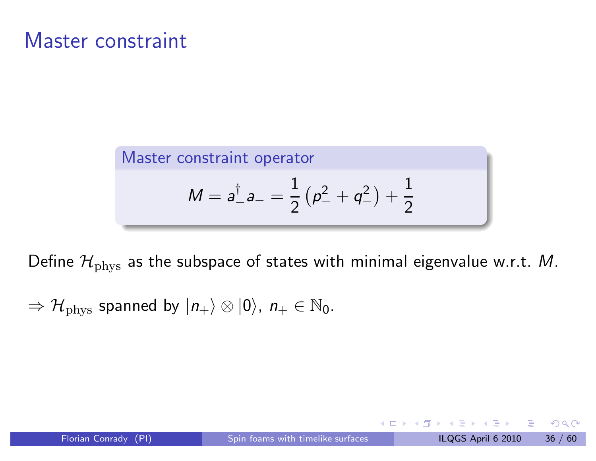Master constraint operator  
\n
$$
M = a^{\dagger}_{-} a_{-} = \frac{1}{2} (p_{-}^{2} + q_{-}^{2}) + \frac{1}{2}
$$

Define  $\mathcal{H}_{\text{phys}}$  as the subspace of states with minimal eigenvalue w.r.t. M.

 $\Rightarrow$   $\mathcal{H}_{\text{phys}}$  spanned by  $|n_{+}\rangle \otimes |0\rangle$ ,  $n_{+} \in \mathbb{N}_{0}$ .

- 그림

 $OQ$ 

 $\mathbf{A} \equiv \mathbf{A} \times \mathbf{A} \equiv \mathbf{A}$ 

 $\blacksquare$ 

◀ 冊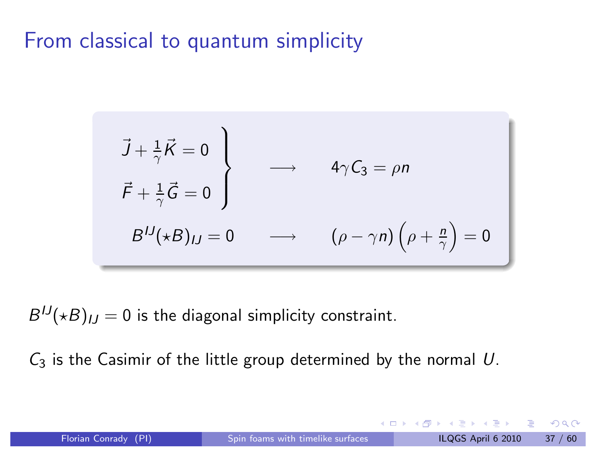#### From classical to quantum simplicity

$$
\vec{J} + \frac{1}{\gamma}\vec{K} = 0
$$
\n
$$
\vec{F} + \frac{1}{\gamma}\vec{G} = 0
$$
\n
$$
B^{IJ}(\star B)_{IJ} = 0 \longrightarrow (\rho - \gamma n)\left(\rho + \frac{n}{\gamma}\right) = 0
$$

 $B^{IJ}(\star B)_{IJ}=0$  is the diagonal simplicity constraint.

 $\mathcal{C}_3$  is the Casimir of the little group determined by the normal  $U.$ 

 $\blacksquare$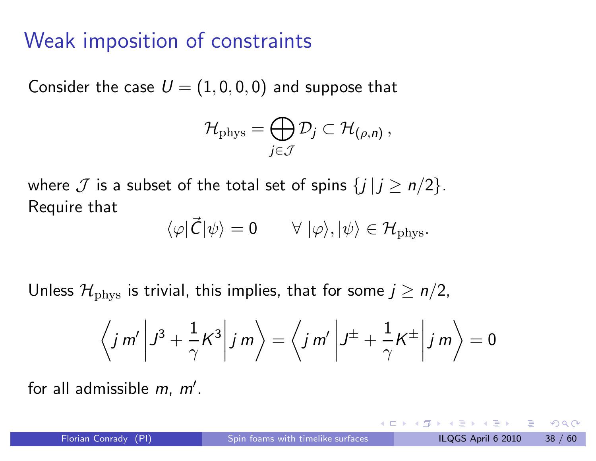#### Weak imposition of constraints

Consider the case  $\mathcal{U}=(1,0,0,0)$  and suppose that

$$
\mathcal{H}_{\text{phys}} = \bigoplus_{j \in \mathcal{J}} \mathcal{D}_j \subset \mathcal{H}_{(\rho,n)},
$$

where  $\mathcal J$  is a subset of the total set of spins  $\{j\,|\,j\ge n/2\}.$ Require that

$$
\langle \varphi | \vec{C} | \psi \rangle = 0 \qquad \forall \ |\varphi \rangle, | \psi \rangle \in \mathcal{H}_{\text{phys}}.
$$

Unless  ${\cal H}_{\rm phys}$  is trivial, this implies, that for some  $j\ge n/2$ ,

$$
\left\langle j\,m'\left|j^3+\frac{1}{\gamma}\,K^3\right|j\,m\right\rangle=\left\langle j\,m'\left|J^{\pm}+\frac{1}{\gamma}\,K^{\pm}\right|j\,m\right\rangle=0
$$

for all admissible <sup>m</sup>, <sup>m</sup>′ .

- ◀ @ ▶ ◀ 로 ▶ ◀ 로 ▶ \_ 로 \_ ⊙ Q ⊙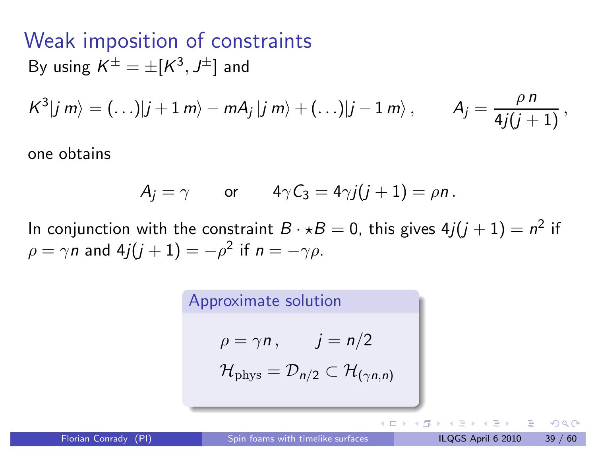#### Weak imposition of constraints By using  $\mathcal{K}^{\pm}=\pm[\mathcal{K}^3,J^{\pm}]$  and

$$
\mathcal{K}^3|j\,m\rangle=(\ldots)|j+1\,m\rangle-mA_j\,|j\,m\rangle+(\ldots)|j-1\,m\rangle\,,\qquad A_j=\frac{\rho\,n}{4j(j+1)}\,,
$$

one obtains

$$
A_j = \gamma \qquad \text{or} \qquad 4\gamma C_3 = 4\gamma j(j+1) = \rho n \, .
$$

In conjunction with the constraint  $B\cdot\star B=0$ , this gives  $4j(j+1)=n^2$  if  $\rho=\gamma$ n and 4 $j(j+1)=-\rho^2$  if  $n=-\gamma\rho.$ 

> Approximate solution  $\rho=\gamma\hskip.08em{n}\hskip.08em,\qquad j=\hskip.08em n/2$  $\mathcal{H}_{\text{phys}}=\overline{\mathcal{D}}_{\mathsf{n}/2}\subset\overline{\mathcal{H}}_{(\gamma\mathsf{n},\mathsf{n})}$

- ▲ 로 ▶ - ▲ 토 ▶ - 그로 - ◆ 이익(아

◀ □ ▶ ◀ 何 ▶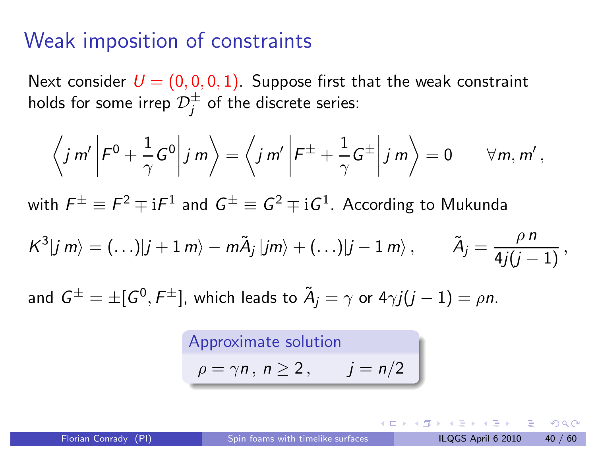#### Weak imposition of constraints

Next consider  $\mathcal{U}=(0,0,0,1)$  . Suppose first that the weak constraint holds for some irrep  $\mathcal{D}^{\pm}_j$  of the discrete series:

$$
\left\langle j\,m'\left|F^{0}+\frac{1}{\gamma}G^{0}\right|j\,m\right\rangle=\left\langle j\,m'\left|F^{\pm}+\frac{1}{\gamma}G^{\pm}\right|j\,m\right\rangle=0\qquad\forall m,m'\,,
$$

with  ${\cal F}^\pm \equiv {\cal F}^2 \mp {\rm i} {\cal F}^1$  and  ${\cal G}^\pm \equiv {\cal G}^2 \mp {\rm i} {\cal G}^1$ . According to Mukunda

$$
\mathcal{K}^3|j\,m\rangle=(\ldots)|j+1\,m\rangle-m\tilde{A}_j\,|jm\rangle+(\ldots)|j-1\,m\rangle\,,\qquad \tilde{A}_j=\frac{\rho\,n}{4j(j-1)}\,,
$$

and  $G^\pm=\pm[G^0,\digamma^\pm]$ , which leads to  $\widetilde A_j$  $=\gamma$  or 4 $\gamma j(j-1)=\rho n.$ 

Approximate solution  

$$
\rho = \gamma n, n \ge 2, \qquad j = n/2
$$

 $\Omega$ 

- K @ ▶ K 로 ▶ K 로 ▶ ○ 로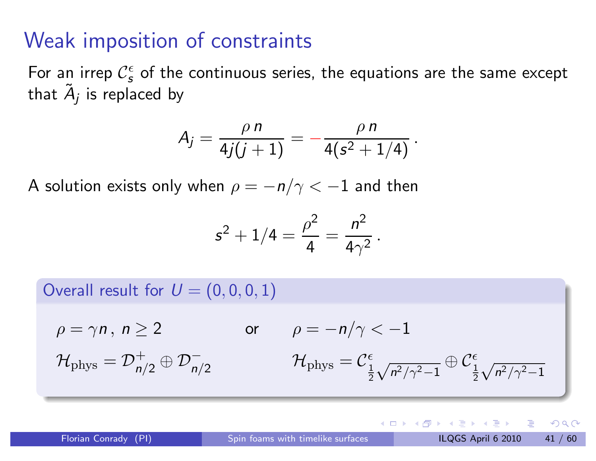#### Weak imposition of constraints

For an irrep  ${\cal C}_{{\bf s}}^\epsilon$  of the continuous series, the equations are the same except that  $\tilde{A}_j$  is replaced by

$$
A_j = \frac{\rho \, n}{4j(j+1)} = -\frac{\rho \, n}{4(s^2+1/4)} \, .
$$

A solution exists only when  $\rho=-\textit{n}/\gamma<-1$  and then

$$
\mathsf{s}^2 + 1/4 = \frac{\rho^2}{4} = \frac{\mathsf{n}^2}{4\gamma^2}\,.
$$

Overall result for  $U=(0,0,0,1)$ 

 $\rho = \gamma n$  , n  $\geq 2$  or  $\rho = -n/\gamma < -1$  $\mathcal{H}_{\text{phys}}=\mathcal{D}_{n}^{+}$  $\frac{1}{n/2}\oplus \mathcal{D}_{n/2}^$  $n/2$  ${\cal H}_{\rm phys}={\cal C}_1^\epsilon$ 1  $\frac{1}{2}\sqrt{n^2/\gamma^2\!-\!1}} \oplus \mathcal{C}_{\frac{1}{2}}^\epsilon$ 1  $\frac{1}{2}\sqrt{n^2/\gamma^2-1}$ 

K □ ▶ K fी ▶ K l ≡ ▶ K l ≡ → M Q ( Q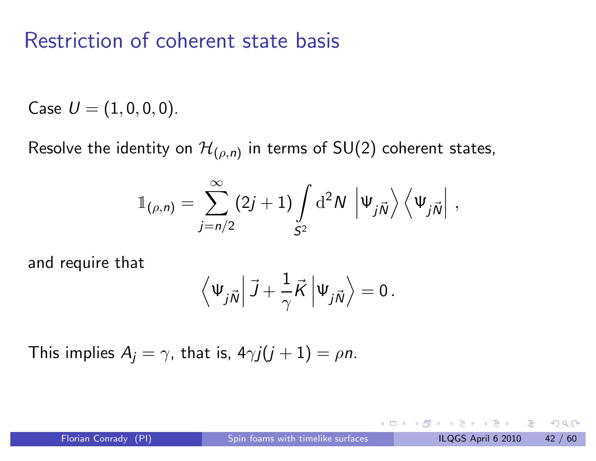$\mathsf{Case}\;\mathit{U}=(1,0,0,0).$ 

Resolve the identity on  $\mathcal{H}_{(\rho,n)}$  in terms of  $\mathsf{SU}(2)$  coherent states,

$$
\mathbb{1}_{(\rho,n)} = \sum_{j=n/2}^{\infty} (2j+1) \int_{S^2} d^2N \, \left| \Psi_{j\vec{N}} \right\rangle \left\langle \Psi_{j\vec{N}} \right| \, ,
$$

and require that

$$
\left\langle \Psi_{j\vec{N}}\right|\vec{J}+\frac{1}{\gamma}\vec{K}\left|\Psi_{j\vec{N}}\right\rangle =0\,.
$$

This implies  $A_j=\gamma$ , that is, 4 $\gamma j(j+1)=\rho n.$ 

 $\blacksquare$ 

- ◆ 伊 ▶ → 王 ▶ → 王 ▶ │ 王 │ ◆ 9 9 0 ◇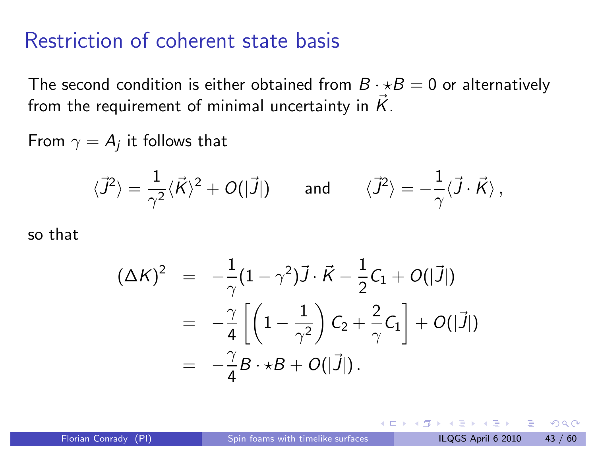The second condition is either obtained from  $B\cdot\star B=0$  or alternatively from the requirement of minimal uncertainty in  $\vec{K}.$ 

From  $\gamma=A_j$  it follows that

$$
\langle \vec{J}^2 \rangle = \frac{1}{\gamma^2} \langle \vec{K} \rangle^2 + O(|\vec{J}|) \quad \text{and} \quad \langle \vec{J}^2 \rangle = -\frac{1}{\gamma} \langle \vec{J} \cdot \vec{K} \rangle \,,
$$

so that

$$
\begin{array}{lcl} (\Delta K)^2&=&-\frac{1}{\gamma}(1-\gamma^2)\vec{J}\cdot\vec{K}-\frac{1}{2}C_1+O(|\vec{J}|)\\&=&-\frac{\gamma}{4}\left[\left(1-\frac{1}{\gamma^2}\right)C_2+\frac{2}{\gamma}C_1\right]+O(|\vec{J}|)\\&=&-\frac{\gamma}{4}B\cdot\star B+O(|\vec{J}|)\,. \end{array}
$$

 $\Omega$ 

◀ @ ▶ ◀ 로 ▶ ◀ 로 ▶ │ 로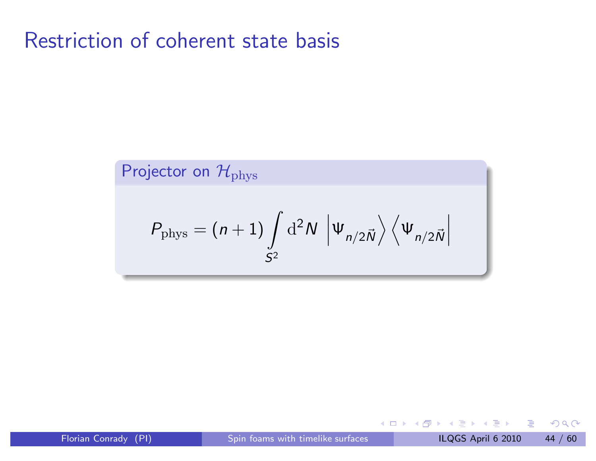Projector on 
$$
\mathcal{H}_{\text{phys}}
$$
  
\n
$$
P_{\text{phys}} = (n+1) \int_{S^2} d^2N \left| \Psi_{n/2\vec{N}} \right\rangle \left\langle \Psi_{n/2\vec{N}} \right|
$$

 $DQ$ 

- K @ ▶ K 호 ▶ K 호 ▶ │ 호

 $\leftarrow$   $\Box$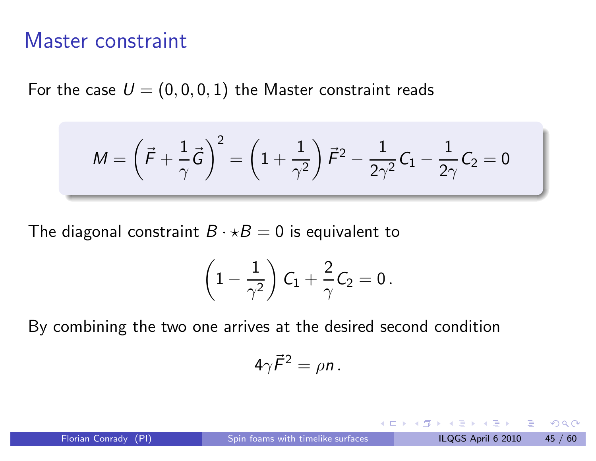For the case  $U = (0, 0, 0, 1)$  the Master constraint reads

$$
M = \left(\vec{F} + \frac{1}{\gamma}\vec{G}\right)^2 = \left(1 + \frac{1}{\gamma^2}\right)\vec{F}^2 - \frac{1}{2\gamma^2}C_1 - \frac{1}{2\gamma}C_2 = 0
$$

The diagonal constraint  $B \cdot \star B = 0$  is equivalent to

$$
\left(1-\frac{1}{\gamma^2}\right)\,C_1+\frac{2}{\gamma}\,C_2=0\,.
$$

By combining the two one arrives at the desired second condition

$$
4\gamma \vec{F}^2 = \rho n \,.
$$

 $\blacksquare$ 

◀ @ ▶ ◀ 로 ▶ ◀ 로 ▶ \_ 로 \_ ◆) Q (~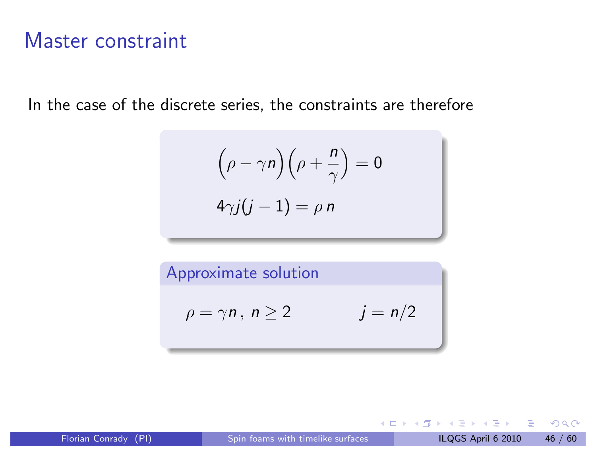In the case of the discrete series, the constraints are therefore

$$
\left(\rho - \gamma n\right)\left(\rho + \frac{n}{\gamma}\right) = 0
$$
  

$$
4\gamma j(j-1) = \rho n
$$

Approximate solution  $\rho = \gamma n, n \ge 2$   $j = n/2$ 

 $\blacksquare$ 

- ◆ 伊 ▶ → 王 ▶ → 王 ▶ │ 王 │ ◆ 9 Q (◇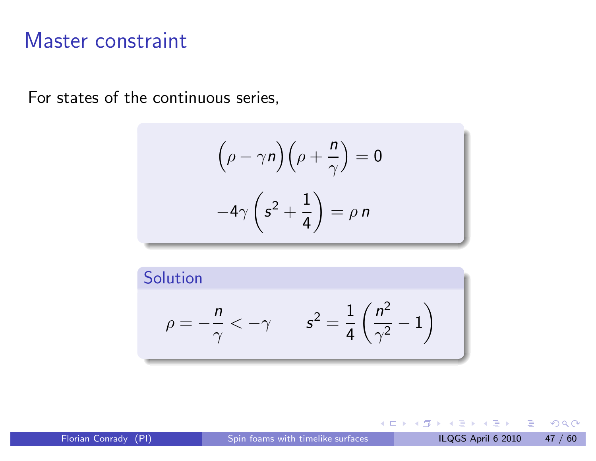For states of the continuous series,

$$
\left(\rho - \gamma n\right)\left(\rho + \frac{n}{\gamma}\right) = 0
$$

$$
-4\gamma \left(s^2 + \frac{1}{4}\right) = \rho n
$$



- ◆ 伊 ▶ → 王 ▶ → 王 ▶ │ 王 │ ◆ 9 Q (◆

 $\leftarrow$   $\Box$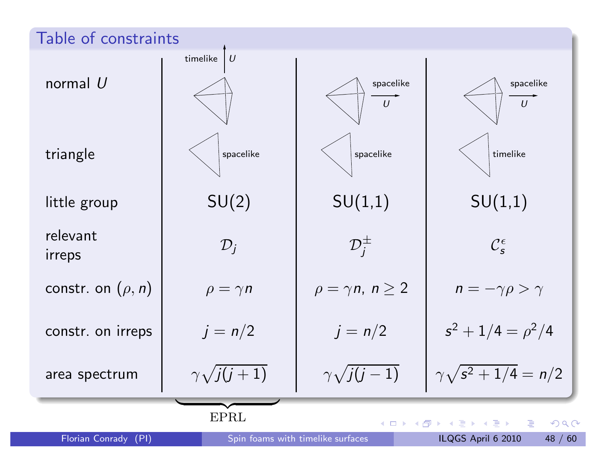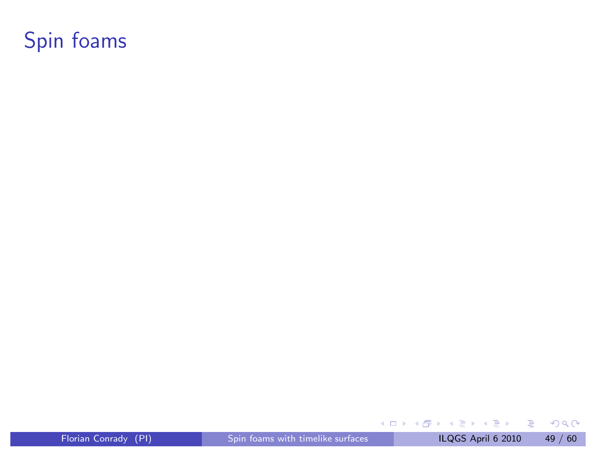## Spin foams

Florian Conrady (PI) Spin foams with timelike [surfaces](#page-0-0) ILQGS April 6 2010 49 / 60

<span id="page-53-0"></span>

**K ロ ▶ K 御 ▶ K 君 ▶ K 君 ▶ │ 君 │ めぬ⊙**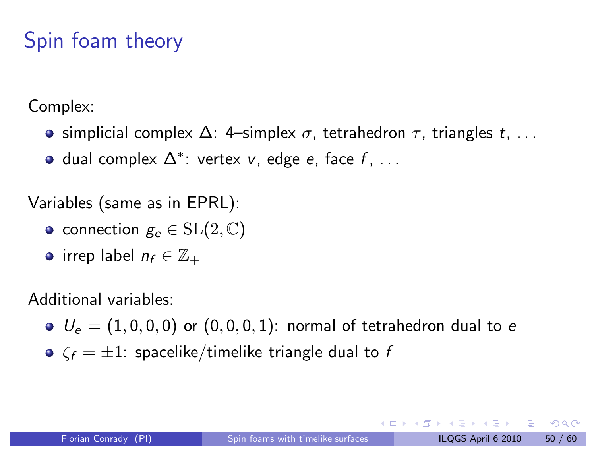## Spin foam theory

Complex:

- simplicial complex  $\Delta$ : 4–simplex  $\sigma$ , tetrahedron  $\tau$ , triangles t, ...
- $\bullet$  dual complex  $\Delta^*$ : vertex v, edge e, face f, ...

Variables (same as in EPRL):

- connection  $g_e \in SL(2,\mathbb{C})$
- irrep label  $n_f \in \mathbb{Z}_+$

Additional variables:

- $U_e = (1, 0, 0, 0)$  or  $(0, 0, 0, 1)$ : normal of tetrahedron dual to e
- $\sigma \zeta_f = \pm 1$ : spacelike/timelike triangle dual to f

- ◀ @ ▶ ◀ 로 ▶ ◀ 로 ▶ \_ 로 \_ < ⊙ Q ⊙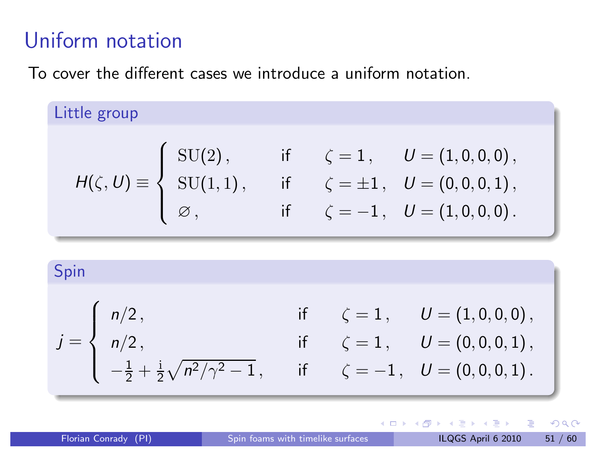#### Uniform notation

To cover the different cases we introduce <sup>a</sup> uniform notation.

Little group

\n
$$
H(\zeta, U) \equiv \begin{cases} \text{SU}(2), & \text{if } \zeta = 1, \quad U = (1, 0, 0, 0), \\ \text{SU}(1, 1), & \text{if } \zeta = \pm 1, \quad U = (0, 0, 0, 1), \\ \varnothing, & \text{if } \zeta = -1, \quad U = (1, 0, 0, 0). \end{cases}
$$

Spin

$$
j = \begin{cases} n/2, & \text{if } \zeta = 1, \quad U = (1, 0, 0, 0), \\ n/2, & \text{if } \zeta = 1, \quad U = (0, 0, 0, 1), \\ -\frac{1}{2} + \frac{i}{2}\sqrt{n^2/\gamma^2 - 1}, & \text{if } \zeta = -1, \quad U = (0, 0, 0, 1). \end{cases}
$$

**◆ □ ▶** 

- ◀ 伊 ▶ ◀ 듣 ▶ ◀ 듣 ▶

- 1 로

 $OQ$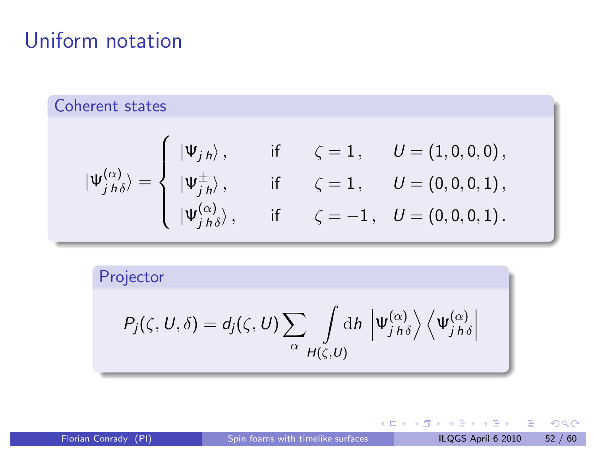#### Uniform notation

#### Coherent states

$$
|\Psi_{j h \delta}^{(\alpha)}\rangle = \left\{ \begin{array}{lll} |\Psi_{j h}\rangle\,, & \text{if} & \zeta = 1\,, & U = (1,0,0,0)\,, \\ |\Psi_{j h}^{\pm}\rangle\,, & \text{if} & \zeta = 1\,, & U = (0,0,0,1)\,, \\ |\Psi_{j h \delta}^{(\alpha)}\rangle\,, & \text{if} & \zeta = -1\,, & U = (0,0,0,1)\,. \end{array} \right.
$$

Projector

$$
P_j(\zeta, U, \delta) = d_j(\zeta, U) \sum_{\alpha} \int_{H(\zeta, U)} dh \left| \Psi_{j h \delta}^{(\alpha)} \right\rangle \left\langle \Psi_{j h \delta}^{(\alpha)} \right|
$$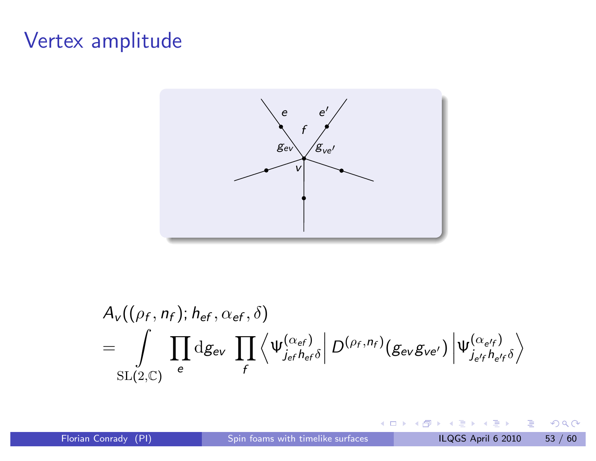## Vertex amplitude



$$
A_{v}((\rho_{f}, n_{f}); h_{ef}, \alpha_{ef}, \delta)
$$
  
= 
$$
\int_{\text{SL}(2,\mathbb{C})} \prod_{e} \text{d}g_{ev} \prod_{f} \left\langle \Psi_{j_{ef}h_{ef}\delta}^{(\alpha_{ef})} \right| D^{(\rho_{f}, n_{f})}(g_{ev}g_{ve'}) \left| \Psi_{j_{e'f}h_{e'f}\delta}^{(\alpha_{e'f})} \right\rangle
$$

K ロ ▶ K @ ▶ K 할 ▶ K 할 ▶ → 할 → 9 Q @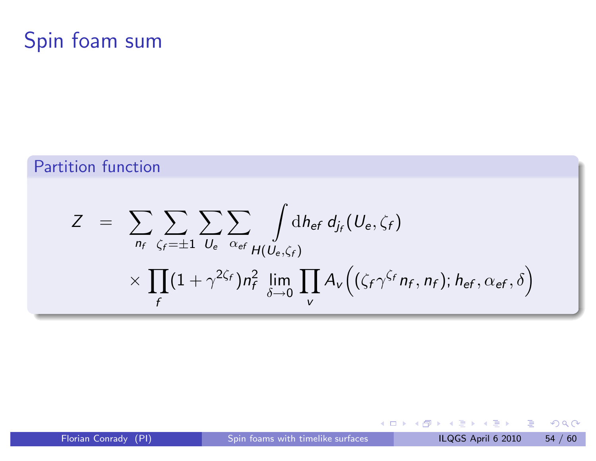## Spin foam sum

#### Partition function

$$
Z = \sum_{n_f} \sum_{\zeta_f = \pm 1} \sum_{U_e} \sum_{\alpha_{ef}} \int_{H(U_e, \zeta_f)} dh_{ef} d_{j_f}(U_e, \zeta_f)
$$
  
 
$$
\times \prod_f (1 + \gamma^{2\zeta_f}) n_f^2 \lim_{\delta \to 0} \prod_V A_V((\zeta_f \gamma^{\zeta_f} n_f, n_f); h_{ef}, \alpha_{ef}, \delta)
$$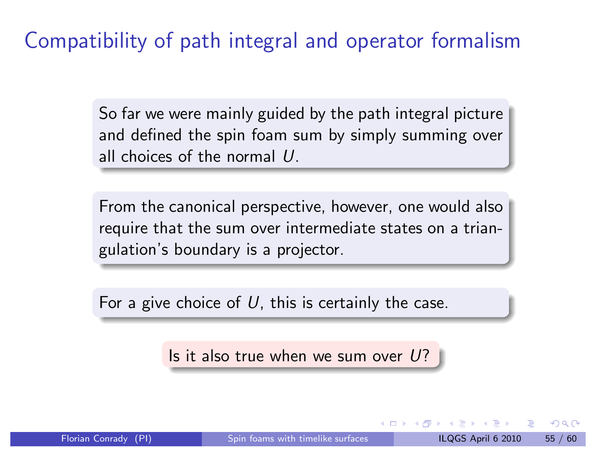Compatibility of path integral and operator formalism

So far we were mainly guided by the path integral picture and defined the spin foam sum by simply summing over all choices of the normal  $\it U.$ 

From the canonical perspective, however, one would also require that the sum over intermediate states on <sup>a</sup> triangulation's boundary is <sup>a</sup> projector.

For a give choice of  $\it U$ , this is certainly the case.

Is it also true when we sum over  $U\!\!?$ 

▶ 제품▶ 제품▶

 $\Omega$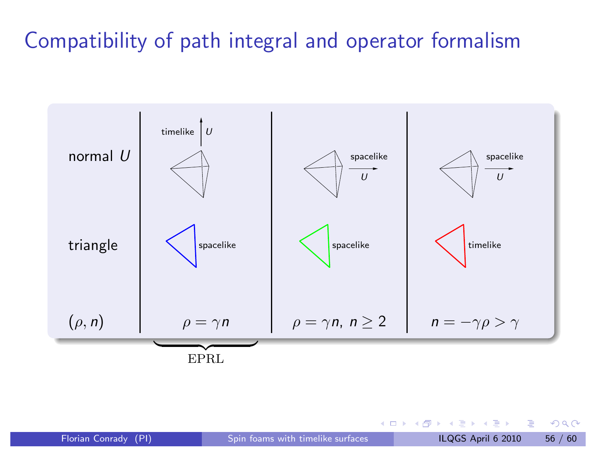### Compatibility of path integral and operator formalism



K ロ ▶ K @ ▶ K ミ ▶ K ミ ▶ │ ミ │ ◆ 9 Q ⊙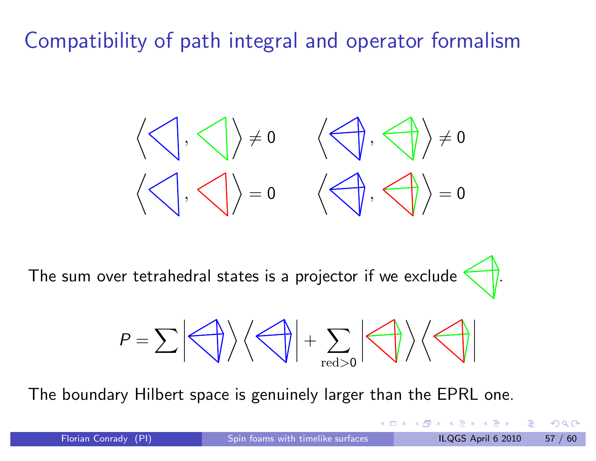Compatibility of path integral and operator formalism



The sum over tetrahedral states is a projector if we exclude  $\leqslant$ 

$$
P=\sum\left|\left\langle\left\langle\right|\right\rangle\left\langle\left\langle\left\langle\right|\right|+\sum_{\mathrm{red}>0}\left|\left\langle\left\langle\right|\right\rangle\right\rangle\left\langle\left\langle\right|\right|\right|\right.\right.
$$

The boundary Hilbert space is genuinely larger than the EPRL one.

**4 □ ▶** 

- ◀ @ ▶ ◀ 로 ▶ ◀ 로 ▶ │ 로



 $\Omega$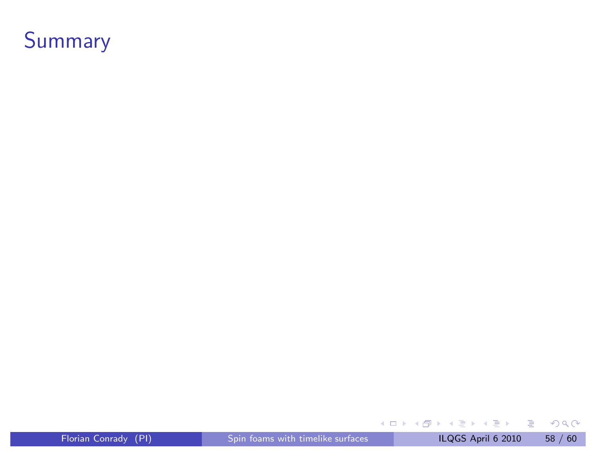

<span id="page-62-0"></span>

**K ロ ▶ K 御 ▶ K 君 ▶ K 君 ▶ │ 君 │ めぬ⊙**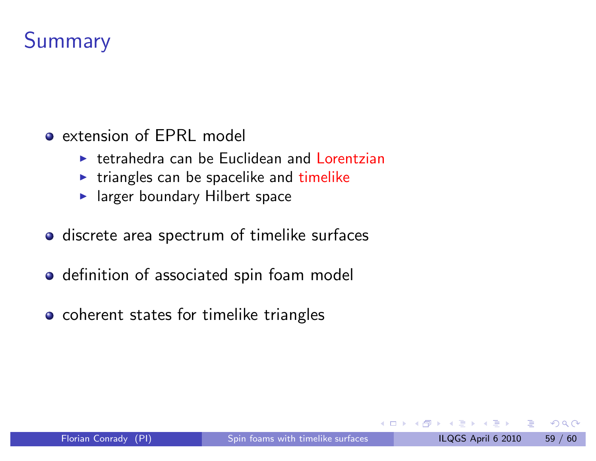## Summary

- **e** extension of EPRL model
	- $\triangleright$  tetrahedra can be Euclidean and Lorentzian
	- $\triangleright$  triangles can be spacelike and timelike
	- ▶ larger boundary Hilbert space
- o discrete area spectrum of timelike surfaces
- o definition of associated spin foam model
- o coherent states for timelike triangles

- 로

 $OQ$ 

医下环医下